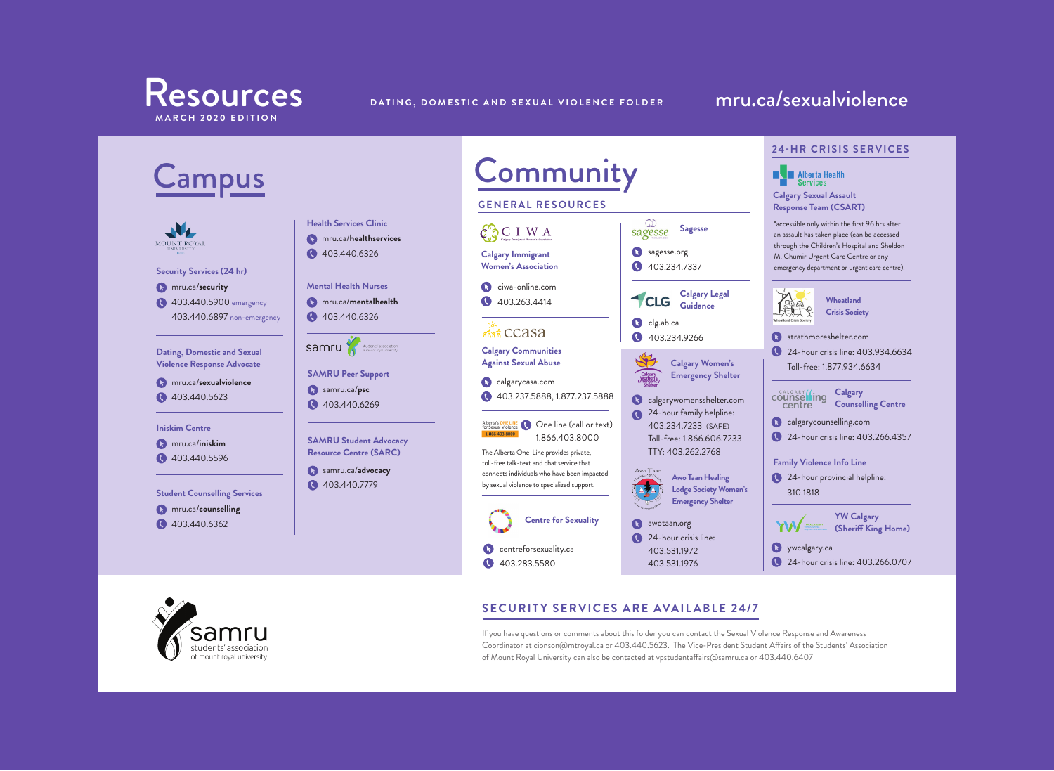





### **SECURITY SERVICES ARE AVAILABLE 24/7**

If you have questions or comments about this folder you can contact the Sexual Violence Response and Awareness Coordinator at cionson@mtroyal.ca or 403.440.5623. The Vice-President Student Affairs of the Students' Association of Mount Royal University can also be contacted at vpstudentaffairs@samru.ca or 403.440.6407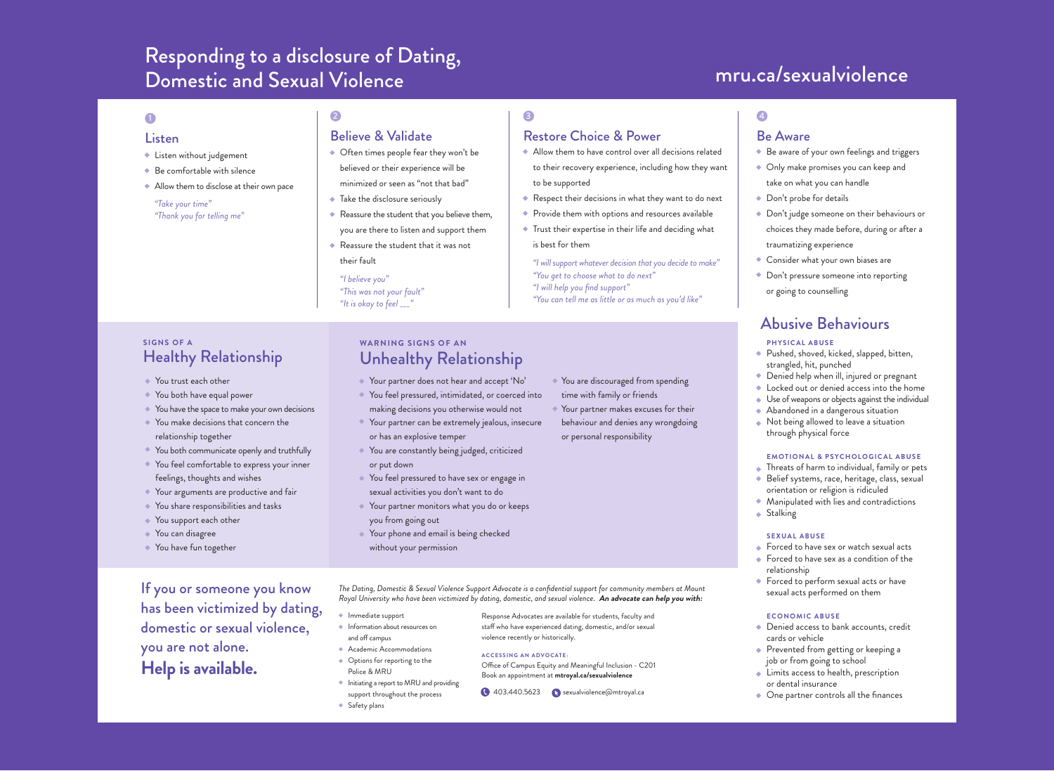## Responding to a disclosure of Dating,<br>
Responding to a disclosure of Dating,<br>
Responding to a disclosure of Dating, Domestic and Sexual Violence

- Listen without judgement
- ◆ Be comfortable with silence
- Allow them to disclose at their own pace

### *"Take your time" "Thank you for telling me"*

### **1** 2  $\overline{a}$  3  $\overline{a}$  4

### Listen Believe & Validate Restore Choice & Power Be Aware

- Often times people fear they won't be believed or their experience will be minimized or seen as "not that bad"
- ◆ Take the disclosure seriously
- Reassure the student that you believe them, you are there to listen and support them
- Reassure the student that it was not their fault

*"I believe you" "This was not your fault" "It is okay to feel \_\_\_"*

### **SIGNS OF A**  Healthy Relationship

- You trust each other
- You both have equal power
- ◆ You have the space to make your own decisions
- You make decisions that concern the relationship together
- You both communicate openly and truthfully
- You feel comfortable to express your inner
- feelings, thoughts and wishes Your arguments are productive and fair
- 
- ◆ You share responsibilities and tasks
- ◆ You support each other
- ◆ You can disagree
- You have fun together

has been victimized by dating, domestic or sexual violence, you are not alone. **Help is available.** 

### **WARNING SIGNS OF AN**  Unhealthy Relationship

- Your partner does not hear and accept 'No' You feel pressured, intimidated, or coerced into
- making decisions you otherwise would not
- Your partner can be extremely jealous, insecure or has an explosive temper
- You are constantly being judged, criticized or put down
- ◆ You feel pressured to have sex or engage in sexual activities you don't want to do
- ◆ Your partner monitors what you do or keeps you from going out
- ◆ Your phone and email is being checked without your permission

If you or someone you know<br>Royal University who have been victimized by dating, domestic, and sexual violence. An advocate can help you with:

violence recently or historically. **ACCESSING AN ADVOCATE:**

Response Advocates are available for students, faculty and staff who have experienced dating, domestic, and/or sexual

Office of Campus Equity and Meaningful Inclusion - C201 Book an appointment at **mtroyal.ca/sexualviolence**

- Immediate support
- $\bullet$  Information about resources on and off campus
- Academic Accommodations
- ◆ Options for reporting to the Police & MRU
- $\bullet$  Initiating a report to MRU and providing support throughout the process **403.440.5623** Sexualviolence@mtroyal.ca
- **Safety plans**

time with family or friends

behaviour and denies any wrongdoing or personal responsibility

### *"I will support whatever decision that you decide to make"*  Consider what your own biases are

*"You can tell me as little or as much as you'd like"* Don't pressure someone into reporting or going to counselling

## Abusive Behaviours

### **PHYSICAL ABUSE**

traumatizing experience

- Pushed, shoved, kicked, slapped, bitten, strangled, hit, punched
- Denied help when ill, injured or pregnant
- ◆ Locked out or denied access into the home
- ◆ Use of weapons or objects against the individual
- Abandoned in a dangerous situation
- Not being allowed to leave a situation through physical force

#### **EMOTIONAL & PSYCHOLOGICAL ABUSE**

- Threats of harm to individual, family or pets
- Belief systems, race, heritage, class, sexual orientation or religion is ridiculed
- Manipulated with lies and contradictions
- $\bullet$  Stalking

#### **SEXUAL ABUSE**

- ◆ Forced to have sex or watch sexual acts
- ◆ Forced to have sex as a condition of the relationship
- Forced to perform sexual acts or have sexual acts performed on them

#### **ECONOMIC ABUSE**

- ◆ Denied access to bank accounts, credit cards or vehicle
- ◆ Prevented from getting or keeping a job or from going to school
- **Limits access to health, prescription** or dental insurance
- One partner controls all the finances

◆ Be aware of your own feelings and triggers Only make promises you can keep and take on what you can handle ◆ Don't probe for details

◆ Don't judge someone on their behaviours or choices they made before, during or after a

*"You get to choose what to do next" "I will help you find support"* 

to be supported

is best for them

Allow them to have control over all decisions related to their recovery experience, including how they want

◆ Respect their decisions in what they want to do next Provide them with options and resources available Trust their expertise in their life and deciding what

Your partner makes excuses for their

You are discouraged from spending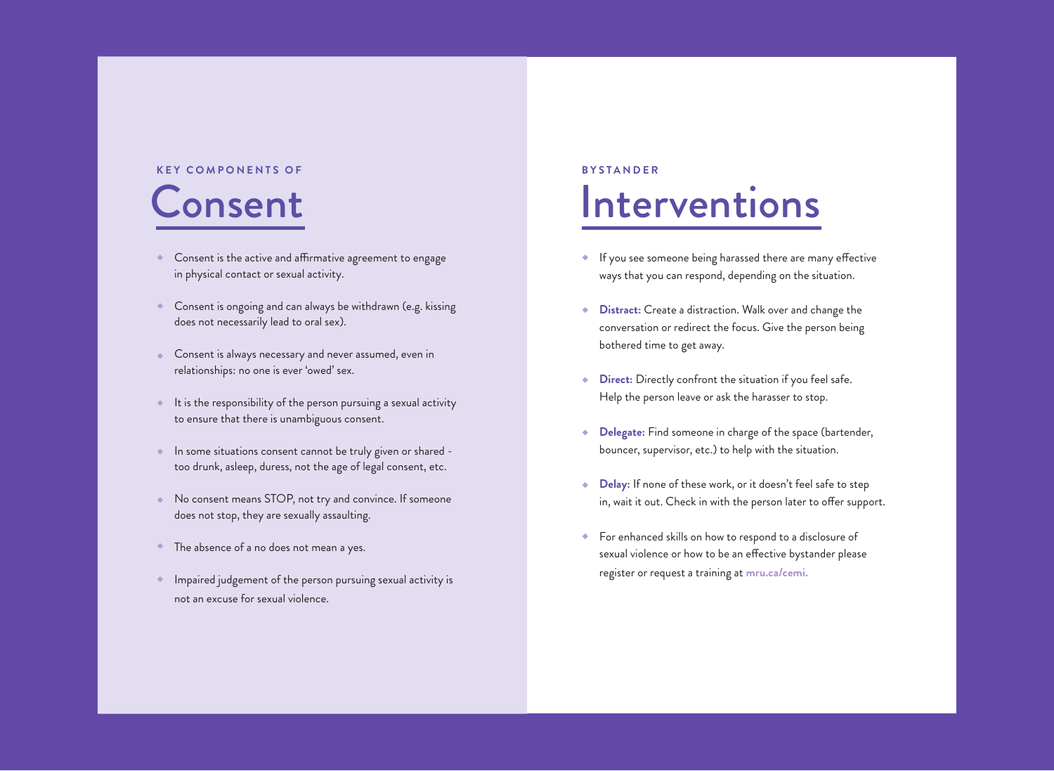# Consent **KEY COMPONENTS OF**

- **Consent is the active and affirmative agreement to engage** in physical contact or sexual activity.
- Consent is ongoing and can always be withdrawn (e.g. kissing  $\bullet$ does not necessarily lead to oral sex).
- ◆ Consent is always necessary and never assumed, even in relationships: no one is ever 'owed' sex.
- $\bullet$  It is the responsibility of the person pursuing a sexual activity to ensure that there is unambiguous consent.
- **In some situations consent cannot be truly given or shared** too drunk, asleep, duress, not the age of legal consent, etc.
- No consent means STOP, not try and convince. If someone does not stop, they are sexually assaulting.
- The absence of a no does not mean a yes. ٠
- Impaired judgement of the person pursuing sexual activity is not an excuse for sexual violence.

# Interventions **BYSTANDER**

- If you see someone being harassed there are many effective ways that you can respond, depending on the situation.
- **Distract:** Create a distraction. Walk over and change the ٠ conversation or redirect the focus. Give the person being bothered time to get away.
- **Direct:** Directly confront the situation if you feel safe. ٠ Help the person leave or ask the harasser to stop.
- **Delegate:** Find someone in charge of the space (bartender,  $\ddot{\bullet}$ bouncer, supervisor, etc.) to help with the situation.
- **Delay:** If none of these work, or it doesn't feel safe to step ٠ in, wait it out. Check in with the person later to offer support.
- For enhanced skills on how to respond to a disclosure of sexual violence or how to be an effective bystander please register or request a training at **mru.ca/cemi.**